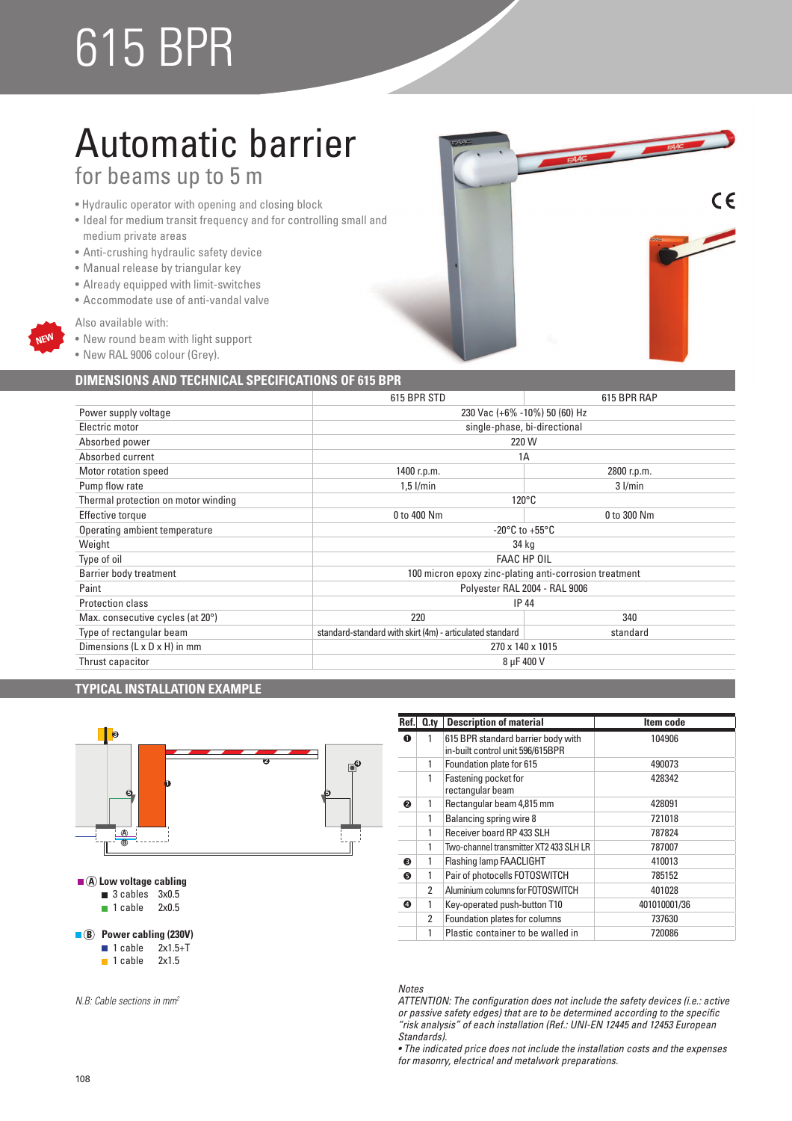# 615 BPR

# Automatic barrier for beams up to 5 m

- Hydraulic operator with opening and closing block
- Ideal for medium transit frequency and for controlling small and medium private areas
- Anti-crushing hydraulic safety device
- Manual release by triangular key
- Already equipped with limit-switches
- Accommodate use of anti-vandal valve
- Also available with:

**NEW**

- New round beam with light support
- New RAL 9006 colour (Grey).

## **DIMENSIONS AND TECHNICAL SPECIFICATIONS OF 615 BPR**

|                                            | 615 BPR STD                                                          | 615 BPR RAP                                            |  |
|--------------------------------------------|----------------------------------------------------------------------|--------------------------------------------------------|--|
| Power supply voltage                       | 230 Vac (+6% -10%) 50 (60) Hz                                        |                                                        |  |
| Electric motor                             | single-phase, bi-directional                                         |                                                        |  |
| Absorbed power                             | 220 W                                                                |                                                        |  |
| Absorbed current                           | 1A                                                                   |                                                        |  |
| Motor rotation speed                       | 1400 r.p.m.                                                          | 2800 r.p.m.                                            |  |
| Pump flow rate                             | $1.5$ I/min                                                          | $3$ I/min                                              |  |
| Thermal protection on motor winding        |                                                                      | $120^{\circ}$ C                                        |  |
| Effective torque                           | 0 to 400 Nm                                                          | 0 to 300 Nm                                            |  |
| Operating ambient temperature              | -20 $^{\circ}$ C to +55 $^{\circ}$ C                                 |                                                        |  |
| Weight                                     | 34 kg                                                                |                                                        |  |
| Type of oil                                | <b>FAAC HP OIL</b>                                                   |                                                        |  |
| Barrier body treatment                     |                                                                      | 100 micron epoxy zinc-plating anti-corrosion treatment |  |
| Paint                                      | Polyester RAL 2004 - RAL 9006                                        |                                                        |  |
| <b>Protection class</b>                    | <b>IP 44</b>                                                         |                                                        |  |
| Max. consecutive cycles (at 20°)           | 220<br>340                                                           |                                                        |  |
| Type of rectangular beam                   | standard-standard with skirt (4m) - articulated standard<br>standard |                                                        |  |
| Dimensions ( $L \times D \times H$ ) in mm | 270 x 140 x 1015                                                     |                                                        |  |
| Thrust capacitor                           | 8 µF 400 V                                                           |                                                        |  |

### **TYPICAL INSTALLATION EXAMPLE**



*N.B: Cable sections in mm<sup>2</sup>*

| Ref. | $Q_{\text{.}ty}$ | <b>Description of material</b>                                         | Item code    |
|------|------------------|------------------------------------------------------------------------|--------------|
| 0    | 1                | 615 BPR standard barrier body with<br>in-built control unit 596/615BPR | 104906       |
|      | 1                | Foundation plate for 615                                               | 490073       |
|      | 1                | Fastening pocket for<br>rectangular beam                               | 428342       |
| ❷    | 1                | Rectangular beam 4,815 mm                                              | 428091       |
|      | 1                | Balancing spring wire 8                                                | 721018       |
|      | 1                | Receiver board RP 433 SLH                                              | 787824       |
|      | 1                | Two-channel transmitter XT2 433 SLH LR                                 | 787007       |
| ଈ    | 1                | Flashing lamp FAACLIGHT                                                | 410013       |
| 6    | 1                | Pair of photocells FOTOSWITCH                                          | 785152       |
|      | 2                | Aluminium columns for FOTOSWITCH                                       | 401028       |
| ❹    | 1                | Key-operated push-button T10                                           | 401010001/36 |
|      | 2                | Foundation plates for columns                                          | 737630       |
|      | 1                | Plastic container to be walled in                                      | 720086       |

 $\epsilon$ 

### *Notes*

*ATTENTION: The configuration does not include the safety devices (i.e.: active or passive safety edges) that are to be determined according to the specific "risk analysis" of each installation (Ref.: UNI-EN 12445 and 12453 European Standards).*

• The indicated price does not include the installation costs and the expenses *for masonry, electrical and metalwork preparations.*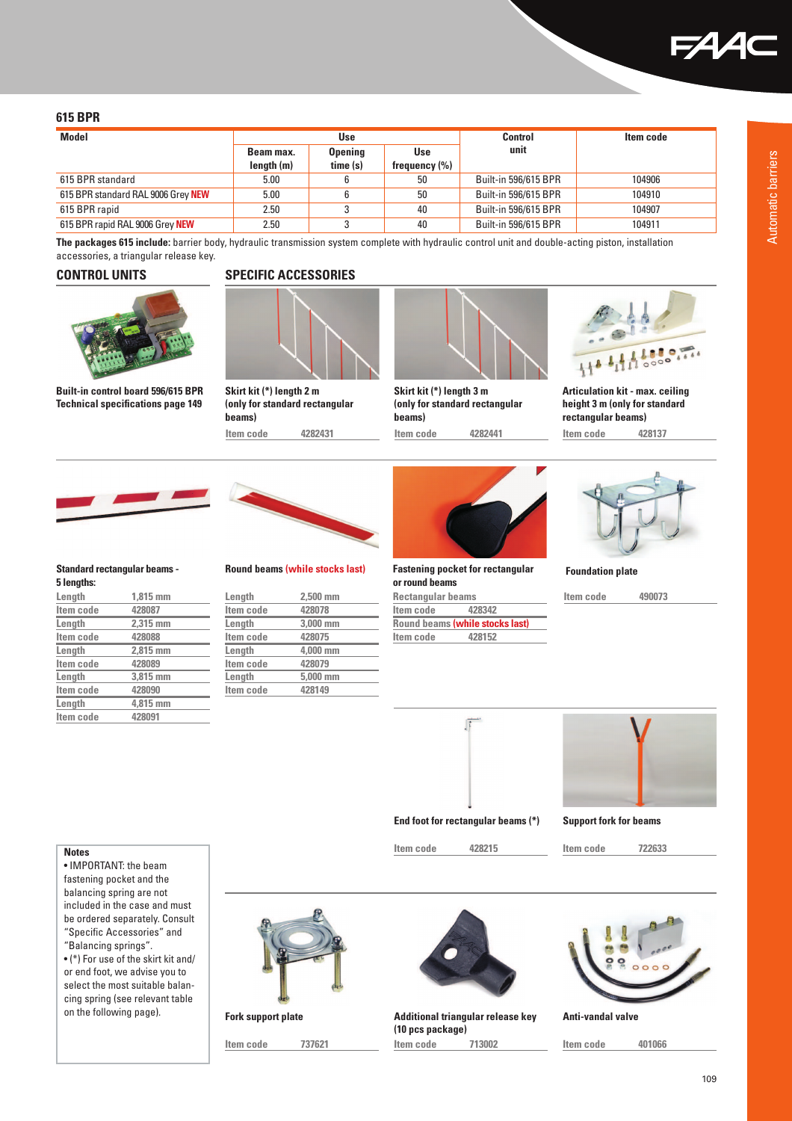

### **615 BPR**

| <b>Model</b>                       | Use                     |                            | <b>Control</b>                  | Item code            |        |
|------------------------------------|-------------------------|----------------------------|---------------------------------|----------------------|--------|
|                                    | Beam max.<br>length (m) | <b>Opening</b><br>time (s) | <b>Use</b><br>frequency $(\% )$ | unit                 |        |
|                                    |                         |                            |                                 |                      |        |
| 615 BPR standard                   | 5.00                    |                            | 50                              | Built-in 596/615 BPR | 104906 |
| 615 BPR standard RAL 9006 Grey NEW | 5.00                    |                            | 50                              | Built-in 596/615 BPR | 104910 |
| 615 BPR rapid                      | 2.50                    |                            | 40                              | Built-in 596/615 BPR | 104907 |
| 615 BPR rapid RAL 9006 Grey NEW    | 2.50                    |                            | 40                              | Built-in 596/615 BPR | 104911 |

**The packages 615 include:** barrier body, hydraulic transmission system complete with hydraulic control unit and double-acting piston, installation accessories, a triangular release key.





**Built-in control board 596/615 BPR Technical specifications page 149**





**Skirt kit (\*) length 2 m (only for standard rectangular beams) Item code 4282431**



**Skirt kit (\*) length 3 m (only for standard rectangular beams) Item code 4282441**



**Articulation kit - max. ceiling height 3 m (only for standard rectangular beams)**

**Item code 428137**



### **Standard rectangular beams - 5 lengths:**

| Length    | $1.815$ mm |
|-----------|------------|
| Item code | 428087     |
| Length    | 2.315 mm   |
| Item code | 428088     |
| Length    | 2.815 mm   |
| Item code | 428089     |
| Length    | 3,815 mm   |
| Item code | 428090     |
| Length    | 4.815 mm   |
| Item code | 428091     |



**Round beams (while stocks last)**

| Length    | $2.500$ mm |  |
|-----------|------------|--|
| Item code | 428078     |  |
| Length    | 3,000 mm   |  |
| Item code | 428075     |  |
| Length    | 4.000 mm   |  |
| Item code | 428079     |  |
| Length    | 5,000 mm   |  |
| Item code | 428149     |  |
|           |            |  |



**Fastening pocket for rectangular or round beams**

**Rectangular beams Item code Round beams (while stocks last) Item code 428152**



**Foundation plate**

```
Item code 490073
```


**End foot for rectangular beams (\*) Support fork for beams**

**Item code 428215 Item code 722633**

### **Notes**

• IMPORTANT: the beam fastening pocket and the balancing spring are not included in the case and must be ordered separately. Consult "Specific Accessories" and "Balancing springs".

 $\bullet$  (\*) For use of the skirt kit and/ or end foot, we advise you to select the most suitable balancing spring (see relevant table on the following page).





**Additional triangular release key Fork support plate Anti-vandal valve (10 pcs package)**



**Item code 737621 Item code 713002 Item code 401066**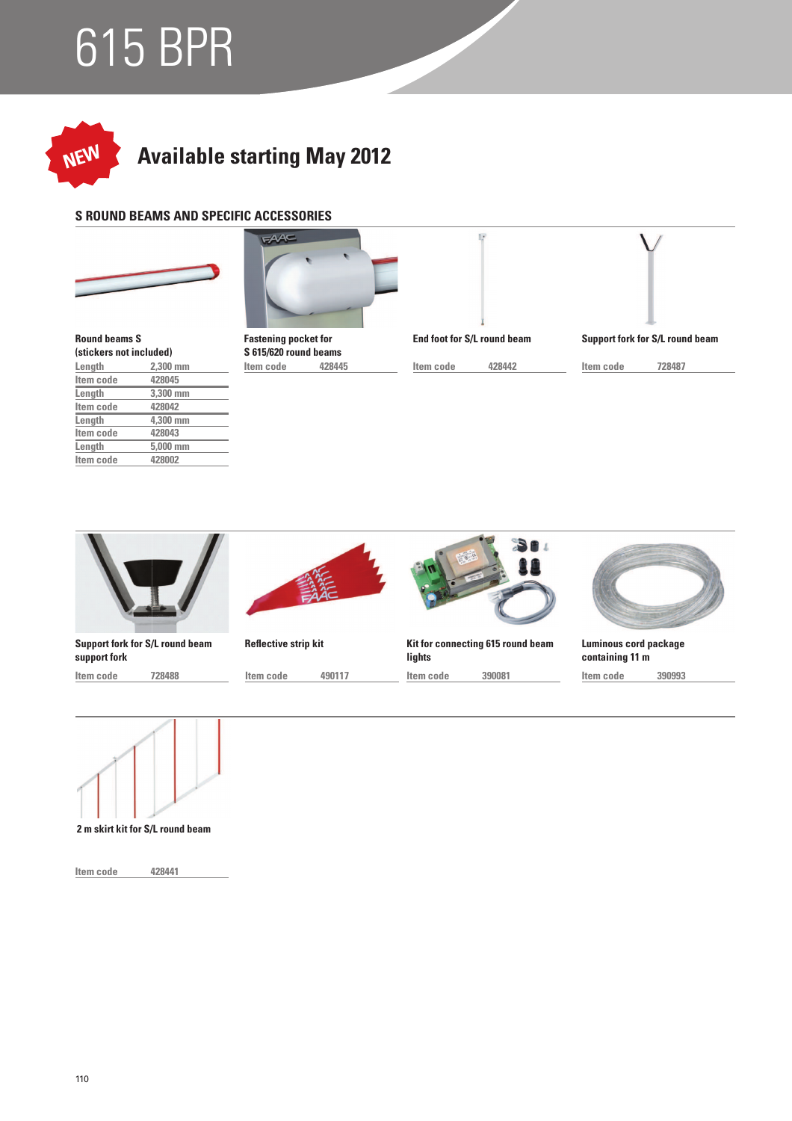# 615 BPR



# **Available starting May 2012**

## **S ROUND BEAMS AND SPECIFIC ACCESSORIES**





 **Length 2,300 mm Round beams S (stickers not included)**

| Item code | 428045   |
|-----------|----------|
| Length    | 3,300 mm |
| Item code | 428042   |
| Length    | 4.300 mm |
| Item code | 428043   |
| Length    | 5,000 mm |
| Item code | 428002   |



**Item code 428445 S 615/620 round beams**



 $\mathbb{R}$ 

 **Item code 428442**

 **Item code 728487 Support fork for S/L round beam**

**Sn Kit for connecting 615 round beam Support fork for S/L round beam Reflective strip kit Luminous cord package support fork lights containing 11 m Item code 728488 Item code 490117 Item code 390081 Item code 390993**



**2 m skirt kit for S/L round beam**

 **Item code 428441**

110